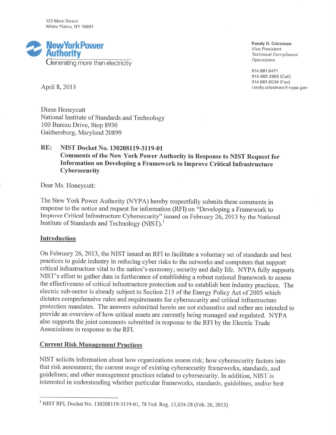123 Main Street White Plains, NY 10601



Randy D. Crissman **Vice President Technical Compliance Operations** 

914.681.6471 914.469.2965 (Cell) 914.681.6534 (Fax) randy.crissman@nypa.gov

April 8, 2013

Diane Honeycutt National Institute of Standards and Technology 100 Bureau Drive, Stop 8930 Gaithersburg, Maryland 20899

#### RE: NIST Docket No. 130208119-3119-01 Comments of the New York Power Authority in Response to NIST Request for Information on Developing a Framework to Improve Critical Infrastructure Cybersecurity

Dear Ms. Honeycutt:

The New York Power Authority (NYPA) hereby respectfully submits these comments in response to the notice and request for information (RFI) on "Developing a Framework to Improve Critical Infrastructure Cybersecurity" issued on February 26, 2013 by the National Institute of Standards and Technology (NIST).<sup>1</sup>

## Introduction

On February 26, 2013, the NIST issued an RFI to facilitate a voluntary set of standards and best practices to guide industry in reducing cyber risks to the networks and computers that support critical infrastructure vital to the nation's economy, security and daily life. NYPA fully supports NIST's effort to gather data in furtherance of establishing a robust national framework to assess the effectiveness of critical infrastructure protection and to establish best industry practices. The electric sub-sector is already subject to Section 215 of the Energy Policy Act of 2005 which dictates comprehensive rules and requirements for cybersecurity and critical infrastructure protection mandates. The answers submitted herein are not exhaustive and rather are intended to provide an overview of how critical assets are currently being managed and regulated. NYPA also supports the joint comments submitted in response to the RFI by the Electric Trade Associations in response to the RFI.

## **Current Risk Management Practices**

NIST solicits information about how organizations assess risk; how cybersecurity factors into that risk assessment; the current usage of existing cybersecurity frameworks, standards, and guidelines; and other management practices related to cybersecurity. In addition, NIST is interested in understanding whether particular frameworks, standards, guidelines, and/or best

<sup>&</sup>lt;sup>1</sup> NIST RFI, Docket No. 130208119-3119-01, 78 Fed. Reg. 13,024-28 (Feb. 26, 2013)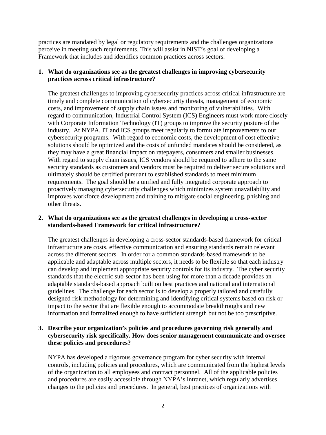practices are mandated by legal or regulatory requirements and the challenges organizations perceive in meeting such requirements. This will assist in NIST's goal of developing a Framework that includes and identifies common practices across sectors.

### **1. What do organizations see as the greatest challenges in improving cybersecurity practices across critical infrastructure?**

The greatest challenges to improving cybersecurity practices across critical infrastructure are timely and complete communication of cybersecurity threats, management of economic costs, and improvement of supply chain issues and monitoring of vulnerabilities. With regard to communication, Industrial Control System (ICS) Engineers must work more closely with Corporate Information Technology (IT) groups to improve the security posture of the industry. At NYPA, IT and ICS groups meet regularly to formulate improvements to our cybersecurity programs. With regard to economic costs, the development of cost effective solutions should be optimized and the costs of unfunded mandates should be considered, as they may have a great financial impact on ratepayers, consumers and smaller businesses. With regard to supply chain issues, ICS vendors should be required to adhere to the same security standards as customers and vendors must be required to deliver secure solutions and ultimately should be certified pursuant to established standards to meet minimum requirements. The goal should be a unified and fully integrated corporate approach to proactively managing cybersecurity challenges which minimizes system unavailability and improves workforce development and training to mitigate social engineering, phishing and other threats.

### **2. What do organizations see as the greatest challenges in developing a cross-sector standards-based Framework for critical infrastructure?**

The greatest challenges in developing a cross-sector standards-based framework for critical infrastructure are costs, effective communication and ensuring standards remain relevant across the different sectors. In order for a common standards-based framework to be applicable and adaptable across multiple sectors, it needs to be flexible so that each industry can develop and implement appropriate security controls for its industry. The cyber security standards that the electric sub-sector has been using for more than a decade provides an adaptable standards-based approach built on best practices and national and international guidelines. The challenge for each sector is to develop a properly tailored and carefully designed risk methodology for determining and identifying critical systems based on risk or impact to the sector that are flexible enough to accommodate breakthroughs and new information and formalized enough to have sufficient strength but not be too prescriptive.

## **3. Describe your organization's policies and procedures governing risk generally and cybersecurity risk specifically. How does senior management communicate and oversee these policies and procedures?**

NYPA has developed a rigorous governance program for cyber security with internal controls, including policies and procedures, which are communicated from the highest levels of the organization to all employees and contract personnel. All of the applicable policies and procedures are easily accessible through NYPA's intranet, which regularly advertises changes to the policies and procedures. In general, best practices of organizations with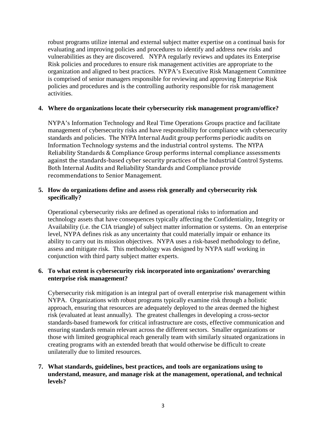robust programs utilize internal and external subject matter expertise on a continual basis for evaluating and improving policies and procedures to identify and address new risks and vulnerabilities as they are discovered. NYPA regularly reviews and updates its Enterprise Risk policies and procedures to ensure risk management activities are appropriate to the organization and aligned to best practices. NYPA's Executive Risk Management Committee is comprised of senior managers responsible for reviewing and approving Enterprise Risk policies and procedures and is the controlling authority responsible for risk management activities.

### **4. Where do organizations locate their cybersecurity risk management program/office?**

NYPA's Information Technology and Real Time Operations Groups practice and facilitate management of cybersecurity risks and have responsibility for compliance with cybersecurity standards and policies. The NYPA Internal Audit group performs periodic audits on Information Technology systems and the industrial control systems. The NYPA Reliability Standards & Compliance Group performs internal compliance assessments against the standards-based cyber security practices of the Industrial Control Systems. Both Internal Audits and Reliability Standards and Compliance provide recommendations to Senior Management.

## **5. How do organizations define and assess risk generally and cybersecurity risk specifically?**

Operational cybersecurity risks are defined as operational risks to information and technology assets that have consequences typically affecting the Confidentiality, Integrity or Availability (i.e. the CIA triangle) of subject matter information or systems. On an enterprise level, NYPA defines risk as any uncertainty that could materially impair or enhance its ability to carry out its mission objectives. NYPA uses a risk-based methodology to define, assess and mitigate risk. This methodology was designed by NYPA staff working in conjunction with third party subject matter experts.

# **6. To what extent is cybersecurity risk incorporated into organizations' overarching enterprise risk management?**

Cybersecurity risk mitigation is an integral part of overall enterprise risk management within NYPA. Organizations with robust programs typically examine risk through a holistic approach, ensuring that resources are adequately deployed to the areas deemed the highest risk (evaluated at least annually). The greatest challenges in developing a cross-sector standards-based framework for critical infrastructure are costs, effective communication and ensuring standards remain relevant across the different sectors. Smaller organizations or those with limited geographical reach generally team with similarly situated organizations in creating programs with an extended breath that would otherwise be difficult to create unilaterally due to limited resources.

## **7. What standards, guidelines, best practices, and tools are organizations using to understand, measure, and manage risk at the management, operational, and technical levels?**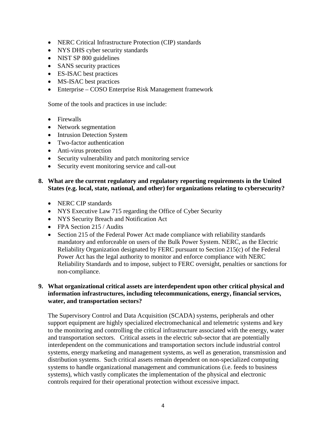- NERC Critical Infrastructure Protection (CIP) standards
- NYS DHS cyber security standards
- NIST SP 800 guidelines
- SANS security practices
- ES-ISAC best practices
- MS-ISAC best practices
- Enterprise COSO Enterprise Risk Management framework

Some of the tools and practices in use include:

- Firewalls
- Network segmentation
- Intrusion Detection System
- Two-factor authentication
- Anti-virus protection
- Security vulnerability and patch monitoring service
- Security event monitoring service and call-out

## **8. What are the current regulatory and regulatory reporting requirements in the United States (e.g. local, state, national, and other) for organizations relating to cybersecurity?**

- NERC CIP standards
- NYS Executive Law 715 regarding the Office of Cyber Security
- NYS Security Breach and Notification Act
- FPA Section 215 / Audits
- Section 215 of the Federal Power Act made compliance with reliability standards mandatory and enforceable on users of the Bulk Power System. NERC, as the Electric Reliability Organization designated by FERC pursuant to Section 215(c) of the Federal Power Act has the legal authority to monitor and enforce compliance with NERC Reliability Standards and to impose, subject to FERC oversight, penalties or sanctions for non-compliance.

## **9. What organizational critical assets are interdependent upon other critical physical and information infrastructures, including telecommunications, energy, financial services, water, and transportation sectors?**

The Supervisory Control and Data Acquisition (SCADA) systems, peripherals and other support equipment are highly specialized electromechanical and telemetric systems and key to the monitoring and controlling the critical infrastructure associated with the energy, water and transportation sectors. Critical assets in the electric sub-sector that are potentially interdependent on the communications and transportation sectors include industrial control systems, energy marketing and management systems, as well as generation, transmission and distribution systems. Such critical assets remain dependent on non-specialized computing systems to handle organizational management and communications (i.e. feeds to business systems), which vastly complicates the implementation of the physical and electronic controls required for their operational protection without excessive impact.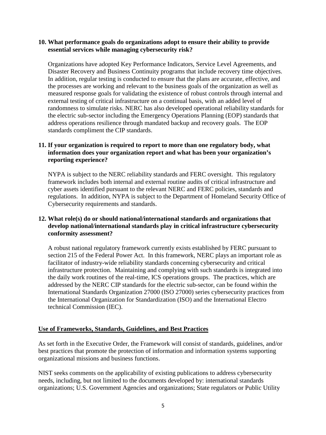### **10. What performance goals do organizations adopt to ensure their ability to provide essential services while managing cybersecurity risk?**

Organizations have adopted Key Performance Indicators, Service Level Agreements, and Disaster Recovery and Business Continuity programs that include recovery time objectives. In addition, regular testing is conducted to ensure that the plans are accurate, effective, and the processes are working and relevant to the business goals of the organization as well as measured response goals for validating the existence of robust controls through internal and external testing of critical infrastructure on a continual basis, with an added level of randomness to simulate risks. NERC has also developed operational reliability standards for the electric sub-sector including the Emergency Operations Planning (EOP) standards that address operations resilience through mandated backup and recovery goals. The EOP standards compliment the CIP standards.

# **11. If your organization is required to report to more than one regulatory body, what information does your organization report and what has been your organization's reporting experience?**

NYPA is subject to the NERC reliability standards and FERC oversight. This regulatory framework includes both internal and external routine audits of critical infrastructure and cyber assets identified pursuant to the relevant NERC and FERC policies, standards and regulations. In addition, NYPA is subject to the Department of Homeland Security Office of Cybersecurity requirements and standards.

## **12. What role(s) do or should national/international standards and organizations that develop national/international standards play in critical infrastructure cybersecurity conformity assessment?**

A robust national regulatory framework currently exists established by FERC pursuant to section 215 of the Federal Power Act. In this framework, NERC plays an important role as facilitator of industry-wide reliability standards concerning cybersecurity and critical infrastructure protection. Maintaining and complying with such standards is integrated into the daily work routines of the real-time, ICS operations groups. The practices, which are addressed by the NERC CIP standards for the electric sub-sector, can be found within the International Standards Organization 27000 (ISO 27000) series cybersecurity practices from the International Organization for Standardization (ISO) and the International Electro technical Commission (IEC).

## **Use of Frameworks, Standards, Guidelines, and Best Practices**

As set forth in the Executive Order, the Framework will consist of standards, guidelines, and/or best practices that promote the protection of information and information systems supporting organizational missions and business functions.

NIST seeks comments on the applicability of existing publications to address cybersecurity needs, including, but not limited to the documents developed by: international standards organizations; U.S. Government Agencies and organizations; State regulators or Public Utility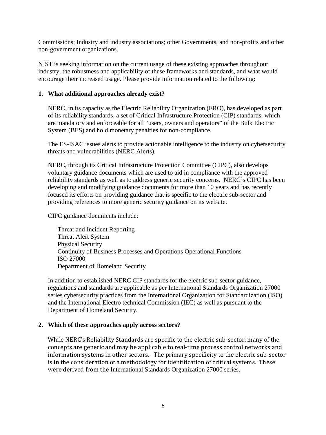Commissions; Industry and industry associations; other Governments, and non-profits and other non-government organizations.

NIST is seeking information on the current usage of these existing approaches throughout industry, the robustness and applicability of these frameworks and standards, and what would encourage their increased usage. Please provide information related to the following:

### **1. What additional approaches already exist?**

NERC, in its capacity as the Electric Reliability Organization (ERO), has developed as part of its reliability standards, a set of Critical Infrastructure Protection (CIP) standards, which are mandatory and enforceable for all "users, owners and operators" of the Bulk Electric System (BES) and hold monetary penalties for non-compliance.

The ES-ISAC issues alerts to provide actionable intelligence to the industry on cybersecurity threats and vulnerabilities (NERC Alerts).

NERC, through its Critical Infrastructure Protection Committee (CIPC), also develops voluntary guidance documents which are used to aid in compliance with the approved reliability standards as well as to address generic security concerns. NERC's CIPC has been developing and modifying guidance documents for more than 10 years and has recently focused its efforts on providing guidance that is specific to the electric sub-sector and providing references to more generic security guidance on its website.

CIPC guidance documents include:

Threat and Incident Reporting Threat Alert System Physical Security Continuity of Business Processes and Operations Operational Functions ISO 27000 Department of Homeland Security

In addition to established NERC CIP standards for the electric sub-sector guidance, regulations and standards are applicable as per International Standards Organization 27000 series cybersecurity practices from the International Organization for Standardization (ISO) and the International Electro technical Commission (IEC) as well as pursuant to the Department of Homeland Security.

#### **2. Which of these approaches apply across sectors?**

While NERC's Reliability Standards are specific to the electric sub-sector, many of the concepts are generic and may be applicable to real-time process control networks and information systems in other sectors. The primary specificity to the electric sub-sector is in the consideration of a methodology for identification of critical systems. These were derived from the International Standards Organization 27000 series.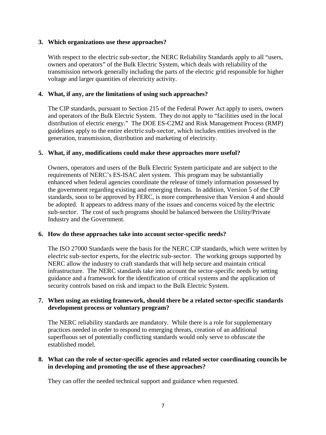### **3. Which organizations use these approaches?**

With respect to the electric sub-sector, the NERC Reliability Standards apply to all "users, owners and operators" of the Bulk Electric System, which deals with reliability of the transmission network generally including the parts of the electric grid responsible for higher voltage and larger quantities of electricity activity.

### **4. What, if any, are the limitations of using such approaches?**

The CIP standards, pursuant to Section 215 of the Federal Power Act apply to users, owners and operators of the Bulk Electric System. They do not apply to "facilities used in the local distribution of electric energy." The DOE ES-C2M2 and Risk Management Process (RMP) guidelines apply to the entire electric sub-sector, which includes entities involved in the generation, transmission, distribution and marketing of electricity.

### **5. What, if any, modifications could make these approaches more useful?**

Owners, operators and users of the Bulk Electric System participate and are subject to the requirements of NERC's ES-ISAC alert system. This program may be substantially enhanced when federal agencies coordinate the release of timely information possessed by the government regarding existing and emerging threats. In addition, Version 5 of the CIP standards, soon to be approved by FERC, is more comprehensive than Version 4 and should be adopted. It appears to address many of the issues and concerns voiced by the electric sub-sector. The cost of such programs should be balanced between the Utility/Private Industry and the Government.

#### **6. How do these approaches take into account sector-specific needs?**

The ISO 27000 Standards were the basis for the NERC CIP standards, which were written by electric sub-sector experts, for the electric sub-sector. The working groups supported by NERC allow the industry to craft standards that will help secure and maintain critical infrastructure. The NERC standards take into account the sector-specific needs by setting guidance and a framework for the identification of critical systems and the application of security controls based on risk and impact to the Bulk Electric System.

### **7. When using an existing framework, should there be a related sector-specific standards development process or voluntary program?**

The NERC reliability standards are mandatory. While there is a role for supplementary practices needed in order to respond to emerging threats, creation of an additional superfluous set of potentially conflicting standards would only serve to obfuscate the established model.

## **8. What can the role of sector-specific agencies and related sector coordinating councils be in developing and promoting the use of these approaches?**

They can offer the needed technical support and guidance when requested.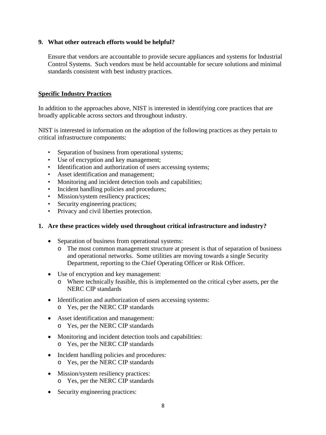## **9. What other outreach efforts would be helpful?**

Ensure that vendors are accountable to provide secure appliances and systems for Industrial Control Systems. Such vendors must be held accountable for secure solutions and minimal standards consistent with best industry practices.

## **Specific Industry Practices**

In addition to the approaches above, NIST is interested in identifying core practices that are broadly applicable across sectors and throughout industry.

NIST is interested in information on the adoption of the following practices as they pertain to critical infrastructure components:

- Separation of business from operational systems;
- • Use of encryption and key management;
- Identification and authorization of users accessing systems;
- Asset identification and management;
- Monitoring and incident detection tools and capabilities;
- Incident handling policies and procedures;
- Mission/system resiliency practices;
- Security engineering practices;
- Privacy and civil liberties protection.

## **1. Are these practices widely used throughout critical infrastructure and industry?**

- Separation of business from operational systems:
	- o The most common management structure at present is that of separation of business and operational networks. Some utilities are moving towards a single Security Department, reporting to the Chief Operating Officer or Risk Officer.
- Use of encryption and key management:
	- o Where technically feasible, this is implemented on the critical cyber assets, per the NERC CIP standards
- Identification and authorization of users accessing systems: o Yes, per the NERC CIP standards
- Asset identification and management: o Yes, per the NERC CIP standards
- Monitoring and incident detection tools and capabilities: o Yes, per the NERC CIP standards
- Incident handling policies and procedures:
	- o Yes, per the NERC CIP standards
- Mission/system resiliency practices:
	- o Yes, per the NERC CIP standards
- Security engineering practices: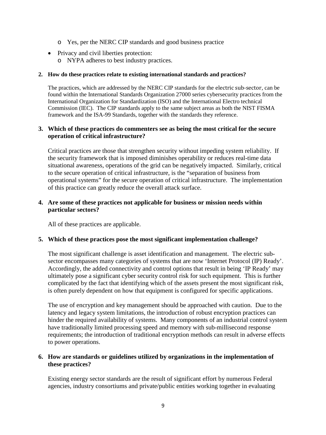- o Yes, per the NERC CIP standards and good business practice
- Privacy and civil liberties protection: o NYPA adheres to best industry practices.

#### **2. How do these practices relate to existing international standards and practices?**

The practices, which are addressed by the NERC CIP standards for the electric sub-sector, can be found within the International Standards Organization 27000 series cybersecurity practices from the International Organization for Standardization (ISO) and the International Electro technical Commission (IEC). The CIP standards apply to the same subject areas as both the NIST FISMA framework and the ISA-99 Standards, together with the standards they reference.

### **3. Which of these practices do commenters see as being the most critical for the secure operation of critical infrastructure?**

Critical practices are those that strengthen security without impeding system reliability. If the security framework that is imposed diminishes operability or reduces real-time data situational awareness, operations of the grid can be negatively impacted. Similarly, critical to the secure operation of critical infrastructure, is the "separation of business from operational systems" for the secure operation of critical infrastructure. The implementation of this practice can greatly reduce the overall attack surface.

### **4. Are some of these practices not applicable for business or mission needs within particular sectors?**

All of these practices are applicable.

#### **5. Which of these practices pose the most significant implementation challenge?**

The most significant challenge is asset identification and management. The electric subsector encompasses many categories of systems that are now 'Internet Protocol (IP) Ready'. Accordingly, the added connectivity and control options that result in being 'IP Ready' may ultimately pose a significant cyber security control risk for such equipment. This is further complicated by the fact that identifying which of the assets present the most significant risk, is often purely dependent on how that equipment is configured for specific applications.

The use of encryption and key management should be approached with caution. Due to the latency and legacy system limitations, the introduction of robust encryption practices can hinder the required availability of systems. Many components of an industrial control system have traditionally limited processing speed and memory with sub-millisecond response requirements; the introduction of traditional encryption methods can result in adverse effects to power operations.

### **6. How are standards or guidelines utilized by organizations in the implementation of these practices?**

Existing energy sector standards are the result of significant effort by numerous Federal agencies, industry consortiums and private/public entities working together in evaluating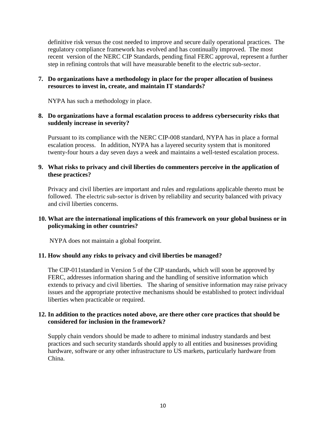definitive risk versus the cost needed to improve and secure daily operational practices. The regulatory compliance framework has evolved and has continually improved. The most recent version of the NERC CIP Standards, pending final FERC approval, represent a further step in refining controls that will have measurable benefit to the electric sub-sector.

## **7. Do organizations have a methodology in place for the proper allocation of business resources to invest in, create, and maintain IT standards?**

NYPA has such a methodology in place.

### **8. Do organizations have a formal escalation process to address cybersecurity risks that suddenly increase in severity?**

Pursuant to its compliance with the NERC CIP-008 standard, NYPA has in place a formal escalation process. In addition, NYPA has a layered security system that is monitored twenty-four hours a day seven days a week and maintains a well-tested escalation process.

## **9. What risks to privacy and civil liberties do commenters perceive in the application of these practices?**

Privacy and civil liberties are important and rules and regulations applicable thereto must be followed. The electric sub-sector is driven by reliability and security balanced with privacy and civil liberties concerns.

## **10. What are the international implications of this framework on your global business or in policymaking in other countries?**

NYPA does not maintain a global footprint.

#### **11. How should any risks to privacy and civil liberties be managed?**

The CIP-011standard in Version 5 of the CIP standards, which will soon be approved by FERC, addresses information sharing and the handling of sensitive information which extends to privacy and civil liberties. The sharing of sensitive information may raise privacy issues and the appropriate protective mechanisms should be established to protect individual liberties when practicable or required.

### **12. In addition to the practices noted above, are there other core practices that should be considered for inclusion in the framework?**

Supply chain vendors should be made to adhere to minimal industry standards and best practices and such security standards should apply to all entities and businesses providing hardware, software or any other infrastructure to US markets, particularly hardware from China.